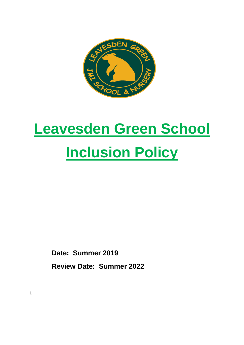

# **Leavesden Green School Inclusion Policy**

**Date: Summer 2019 Review Date: Summer 2022**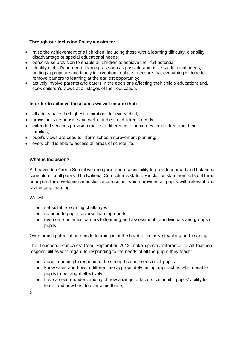## **Through our Inclusion Policy we aim to:**

- raise the achievement of all children, including those with a learning difficulty, disability, disadvantage or special educational needs;
- personalise provision to enable all children to achieve their full potential;
- identify a child's barrier to learning as soon as possible and assess additional needs, putting appropriate and timely intervention in place to ensure that everything is done to remove barriers to learning at the earliest opportunity;
- actively involve parents and carers in the decisions affecting their child's education; and, seek children's views at all stages of their education.

## **In order to achieve these aims we will ensure that:**

- all adults have the highest aspirations for every child;
- provision is responsive and well matched to children's needs;
- extended services provision makes a difference to outcomes for children and their families;
- pupil's views are used to inform school improvement planning; ,
- every child is able to access all areas of school life.

## **What is Inclusion?**

At Leavesden Green School we recognise our responsibility to provide a broad and balanced curriculum for all pupils. The National Curriculum's statutory inclusion statement sets out three principles for developing an inclusive curriculum which provides all pupils with relevant and challenging learning.

We will:

- set suitable learning challenges;
- respond to pupils' diverse learning needs;
- overcome potential barriers to learning and assessment for individuals and groups of pupils.

Overcoming potential barriers to learning is at the heart of inclusive teaching and learning.

The Teachers Standards' from September 2012 make specific reference to all teachers' responsibilities with regard to responding to the needs of all the pupils they teach:

- adapt teaching to respond to the strengths and needs of all pupils
- know when and how to differentiate appropriately, using approaches which enable pupils to be taught effectively;
- have a secure understanding of how a range of factors can inhibit pupils' ability to learn, and how best to overcome these;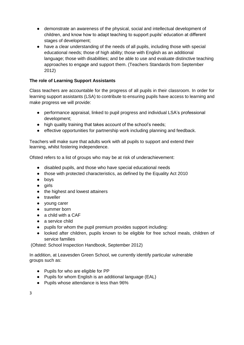- demonstrate an awareness of the physical, social and intellectual development of children, and know how to adapt teaching to support pupils' education at different stages of development;
- have a clear understanding of the needs of all pupils, including those with special educational needs; those of high ability; those with English as an additional language; those with disabilities; and be able to use and evaluate distinctive teaching approaches to engage and support them. (Teachers Standards from September 2012)

# **The role of Learning Support Assistants**

Class teachers are accountable for the progress of all pupils in their classroom. In order for learning support assistants (LSA) to contribute to ensuring pupils have access to learning and make progress we will provide:

- performance appraisal, linked to pupil progress and individual LSA's professional development;
- high quality training that takes account of the school's needs;
- effective opportunities for partnership work including planning and feedback.

Teachers will make sure that adults work with all pupils to support and extend their learning, whilst fostering independence.

Ofsted refers to a list of groups who may be at risk of underachievement:

- disabled pupils, and those who have special educational needs
- those with protected characteristics, as defined by the Equality Act 2010
- boys
- girls
- the highest and lowest attainers
- traveller
- young carer
- summer born
- $\bullet$  a child with a CAF
- a service child
- pupils for whom the pupil premium provides support including:
- looked after children, pupils known to be eligible for free school meals, children of service families

(Ofsted: School Inspection Handbook, September 2012)

In addition, at Leavesden Green School, we currently identify particular vulnerable groups such as:

- Pupils for who are eligible for PP
- Pupils for whom English is an additional language (EAL)
- Pupils whose attendance is less than 96%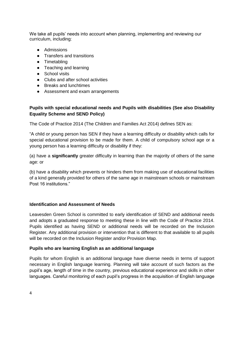We take all pupils' needs into account when planning, implementing and reviewing our curriculum, including:

- Admissions
- Transfers and transitions
- Timetabling
- Teaching and learning
- School visits
- Clubs and after school activities
- Breaks and lunchtimes
- Assessment and exam arrangements

# **Pupils with special educational needs and Pupils with disabilities (See also Disability Equality Scheme and SEND Policy)**

The Code of Practice 2014 (The Children and Families Act 2014) defines SEN as:

"A child or young person has SEN if they have a learning difficulty or disability which calls for special educational provision to be made for them. A child of compulsory school age or a young person has a learning difficulty or disability if they:

(a) have a **significantly** greater difficulty in learning than the majority of others of the same age: or

(b) have a disability which prevents or hinders them from making use of educational facilities of a kind generally provided for others of the same age in mainstream schools or mainstream Post 16 institutions."

## **Identification and Assessment of Needs**

Leavesden Green School is committed to early identification of SEND and additional needs and adopts a graduated response to meeting these in line with the Code of Practice 2014. Pupils identified as having SEND or additional needs will be recorded on the Inclusion Register. Any additional provision or intervention that is different to that available to all pupils will be recorded on the Inclusion Register and/or Provision Map.

## **Pupils who are learning English as an additional language**

Pupils for whom English is an additional language have diverse needs in terms of support necessary in English language learning. Planning will take account of such factors as the pupil's age, length of time in the country, previous educational experience and skills in other languages. Careful monitoring of each pupil's progress in the acquisition of English language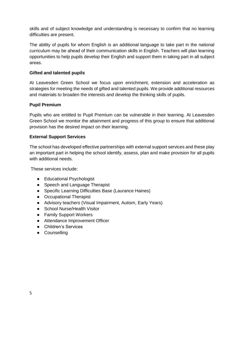skills and of subject knowledge and understanding is necessary to confirm that no learning difficulties are present.

The ability of pupils for whom English is an additional language to take part in the national curriculum may be ahead of their communication skills in English. Teachers will plan learning opportunities to help pupils develop their English and support them in taking part in all subject areas.

## **Gifted and talented pupils**

At Leavesden Green School we focus upon enrichment, extension and acceleration as strategies for meeting the needs of gifted and talented pupils. We provide additional resources and materials to broaden the interests and develop the thinking skills of pupils.

## **Pupil Premium**

Pupils who are entitled to Pupil Premium can be vulnerable in their learning. At Leavesden Green School we monitor the attainment and progress of this group to ensure that additional provision has the desired impact on their learning.

## **External Support Services**

The school has developed effective partnerships with external support services and these play an important part in helping the school identify, assess, plan and make provision for all pupils with additional needs.

These services include:

- Educational Psychologist
- Speech and Language Therapist
- Specific Learning Difficulties Base (Laurance Haines)
- Occupational Therapist
- Advisory teachers (Visual Impairment, Autism, Early Years)
- School Nurse/Health Visitor
- Family Support Workers
- Attendance Improvement Officer
- Children's Services
- Counselling